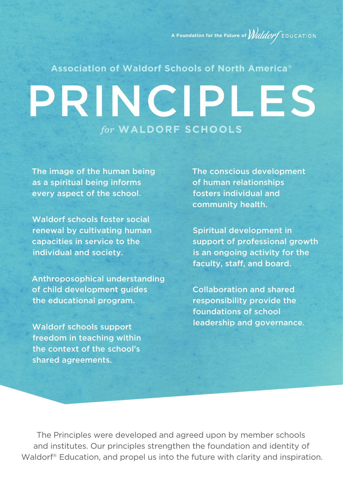**A Foundation for the Future of** *Waldov* EDUCATION

# PRINCIPLES *for* **WALDORF SCHOOLS Association of Waldorf Schools of North Americaš**

The image of the human being as a spiritual being informs every aspect of the school.

Waldorf schools foster social renewal by cultivating human capacities in service to the individual and society.

Anthroposophical understanding of child development guides the educational program.

Waldorf schools support freedom in teaching within the context of the school's shared agreements.

The conscious development of human relationships fosters individual and community health.

Spiritual development in support of professional growth is an ongoing activity for the faculty, staff, and board.

Collaboration and shared responsibility provide the foundations of school leadership and governance.

The Principles were developed and agreed upon by member schools and institutes. Our principles strengthen the foundation and identity of Waldorf® Education, and propel us into the future with clarity and inspiration.